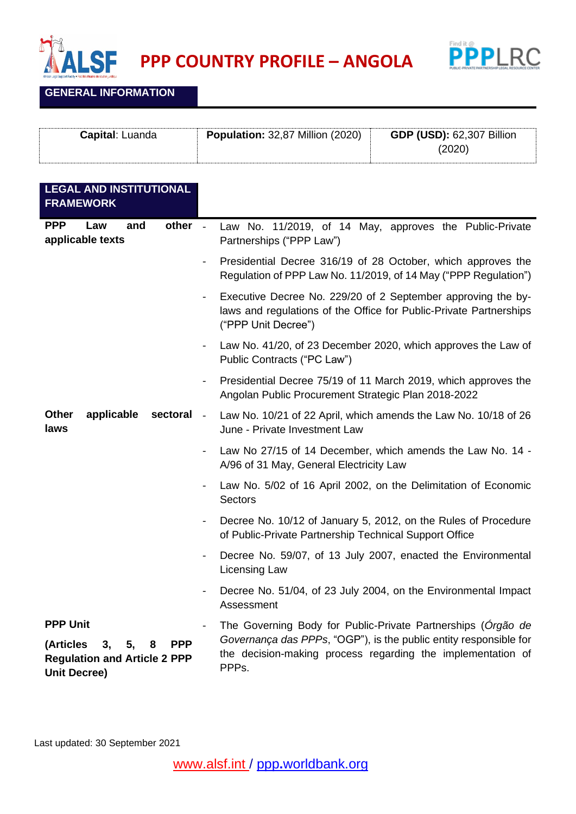



**GENERAL INFORMATION**

| <b>Capital</b> : Luanda | <b>Population: 32,87 Million (2020)</b> | <b>GDP (USD): 62,307 Billion</b> |
|-------------------------|-----------------------------------------|----------------------------------|
|                         |                                         | (2020)                           |
|                         |                                         |                                  |

| <b>LEGAL AND INSTITUTIONAL</b><br><b>FRAMEWORK</b>                                                                        |                          |                                                                                                                                                                                                                        |
|---------------------------------------------------------------------------------------------------------------------------|--------------------------|------------------------------------------------------------------------------------------------------------------------------------------------------------------------------------------------------------------------|
| other -<br><b>PPP</b><br>Law<br>and<br>applicable texts                                                                   |                          | Law No. 11/2019, of 14 May, approves the Public-Private<br>Partnerships ("PPP Law")                                                                                                                                    |
|                                                                                                                           | $\blacksquare$           | Presidential Decree 316/19 of 28 October, which approves the<br>Regulation of PPP Law No. 11/2019, of 14 May ("PPP Regulation")                                                                                        |
|                                                                                                                           |                          | Executive Decree No. 229/20 of 2 September approving the by-<br>laws and regulations of the Office for Public-Private Partnerships<br>("PPP Unit Decree")                                                              |
|                                                                                                                           |                          | Law No. 41/20, of 23 December 2020, which approves the Law of<br>Public Contracts ("PC Law")                                                                                                                           |
|                                                                                                                           | $\blacksquare$           | Presidential Decree 75/19 of 11 March 2019, which approves the<br>Angolan Public Procurement Strategic Plan 2018-2022                                                                                                  |
| <b>Other</b><br>applicable<br>sectoral<br>laws                                                                            | $\overline{\phantom{a}}$ | Law No. 10/21 of 22 April, which amends the Law No. 10/18 of 26<br>June - Private Investment Law                                                                                                                       |
|                                                                                                                           |                          | Law No 27/15 of 14 December, which amends the Law No. 14 -<br>A/96 of 31 May, General Electricity Law                                                                                                                  |
|                                                                                                                           |                          | Law No. 5/02 of 16 April 2002, on the Delimitation of Economic<br><b>Sectors</b>                                                                                                                                       |
|                                                                                                                           | $\blacksquare$           | Decree No. 10/12 of January 5, 2012, on the Rules of Procedure<br>of Public-Private Partnership Technical Support Office                                                                                               |
|                                                                                                                           | $\blacksquare$           | Decree No. 59/07, of 13 July 2007, enacted the Environmental<br>Licensing Law                                                                                                                                          |
|                                                                                                                           |                          | Decree No. 51/04, of 23 July 2004, on the Environmental Impact<br>Assessment                                                                                                                                           |
| <b>PPP Unit</b><br>(Articles<br>5,<br><b>PPP</b><br>3,<br>8<br><b>Regulation and Article 2 PPP</b><br><b>Unit Decree)</b> |                          | The Governing Body for Public-Private Partnerships (Orgão de<br>Governança das PPPs, "OGP"), is the public entity responsible for<br>the decision-making process regarding the implementation of<br>PPP <sub>s</sub> . |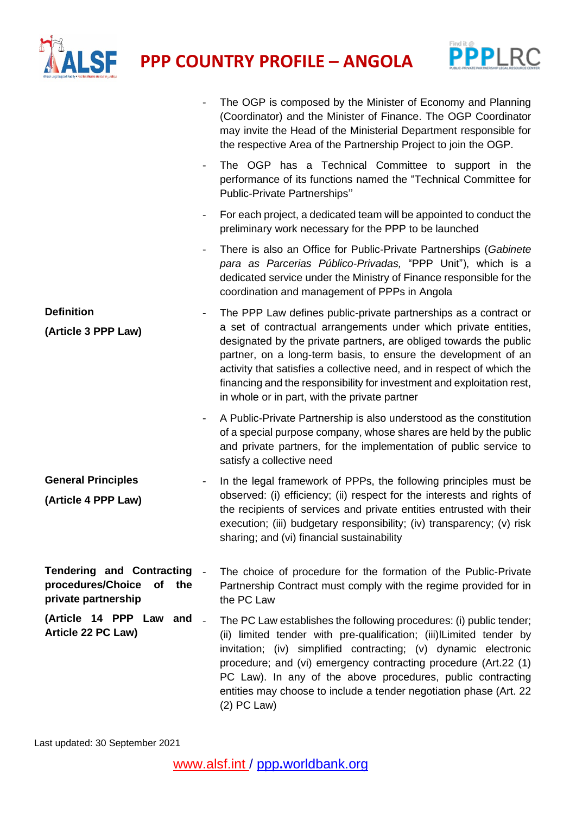



|                                                                                        |                          | The OGP is composed by the Minister of Economy and Planning<br>(Coordinator) and the Minister of Finance. The OGP Coordinator<br>may invite the Head of the Ministerial Department responsible for<br>the respective Area of the Partnership Project to join the OGP.                                                                                                                                                                                                            |
|----------------------------------------------------------------------------------------|--------------------------|----------------------------------------------------------------------------------------------------------------------------------------------------------------------------------------------------------------------------------------------------------------------------------------------------------------------------------------------------------------------------------------------------------------------------------------------------------------------------------|
|                                                                                        | $\overline{\phantom{a}}$ | The OGP has a Technical Committee to support in the<br>performance of its functions named the "Technical Committee for<br>Public-Private Partnerships"                                                                                                                                                                                                                                                                                                                           |
|                                                                                        | $\blacksquare$           | For each project, a dedicated team will be appointed to conduct the<br>preliminary work necessary for the PPP to be launched                                                                                                                                                                                                                                                                                                                                                     |
|                                                                                        | $\blacksquare$           | There is also an Office for Public-Private Partnerships (Gabinete<br>para as Parcerias Público-Privadas, "PPP Unit"), which is a<br>dedicated service under the Ministry of Finance responsible for the<br>coordination and management of PPPs in Angola                                                                                                                                                                                                                         |
| <b>Definition</b><br>(Article 3 PPP Law)                                               | $\blacksquare$           | The PPP Law defines public-private partnerships as a contract or<br>a set of contractual arrangements under which private entities,<br>designated by the private partners, are obliged towards the public<br>partner, on a long-term basis, to ensure the development of an<br>activity that satisfies a collective need, and in respect of which the<br>financing and the responsibility for investment and exploitation rest,<br>in whole or in part, with the private partner |
|                                                                                        | $\blacksquare$           | A Public-Private Partnership is also understood as the constitution<br>of a special purpose company, whose shares are held by the public<br>and private partners, for the implementation of public service to<br>satisfy a collective need                                                                                                                                                                                                                                       |
| <b>General Principles</b><br>(Article 4 PPP Law)                                       |                          | In the legal framework of PPPs, the following principles must be<br>observed: (i) efficiency; (ii) respect for the interests and rights of<br>the recipients of services and private entities entrusted with their<br>execution; (iii) budgetary responsibility; (iv) transparency; (v) risk<br>sharing; and (vi) financial sustainability                                                                                                                                       |
| <b>Tendering and Contracting</b><br>procedures/Choice<br>of the<br>private partnership |                          | The choice of procedure for the formation of the Public-Private<br>Partnership Contract must comply with the regime provided for in<br>the PC Law                                                                                                                                                                                                                                                                                                                                |
| (Article 14 PPP Law and -<br>Article 22 PC Law)                                        |                          | The PC Law establishes the following procedures: (i) public tender;<br>(ii) limited tender with pre-qualification; (iii)ILimited tender by<br>invitation; (iv) simplified contracting; (v) dynamic electronic<br>procedure; and (vi) emergency contracting procedure (Art.22 (1)<br>PC Law). In any of the above procedures, public contracting<br>entities may choose to include a tender negotiation phase (Art. 22<br>$(2)$ PC Law)                                           |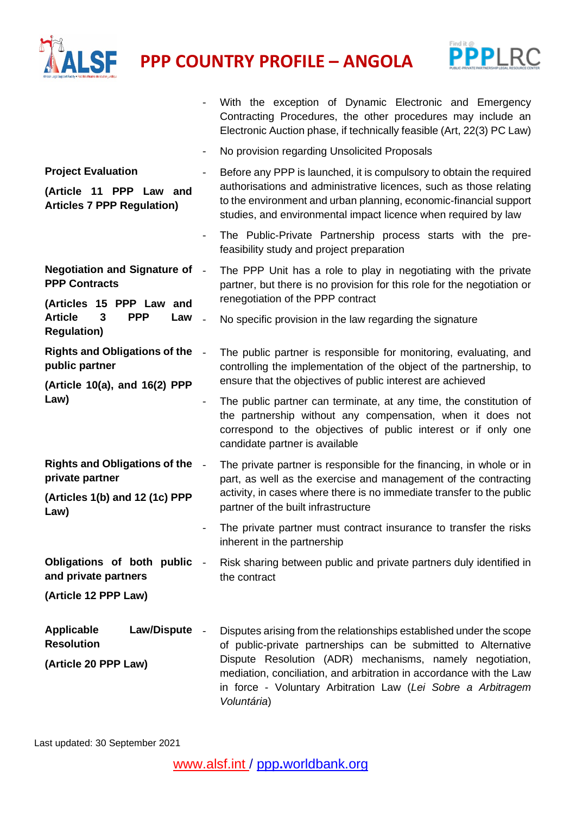



|                                                                                           |                              | With the exception of Dynamic Electronic and Emergency<br>Contracting Procedures, the other procedures may include an<br>Electronic Auction phase, if technically feasible (Art, 22(3) PC Law)                                                                                   |
|-------------------------------------------------------------------------------------------|------------------------------|----------------------------------------------------------------------------------------------------------------------------------------------------------------------------------------------------------------------------------------------------------------------------------|
|                                                                                           |                              | No provision regarding Unsolicited Proposals                                                                                                                                                                                                                                     |
| <b>Project Evaluation</b><br>(Article 11 PPP Law and<br><b>Articles 7 PPP Regulation)</b> | $\qquad \qquad \blacksquare$ | Before any PPP is launched, it is compulsory to obtain the required<br>authorisations and administrative licences, such as those relating<br>to the environment and urban planning, economic-financial support<br>studies, and environmental impact licence when required by law |
|                                                                                           |                              | The Public-Private Partnership process starts with the pre-<br>feasibility study and project preparation                                                                                                                                                                         |
| <b>Negotiation and Signature of -</b><br><b>PPP Contracts</b><br>(Articles 15 PPP Law and |                              | The PPP Unit has a role to play in negotiating with the private<br>partner, but there is no provision for this role for the negotiation or<br>renegotiation of the PPP contract                                                                                                  |
| <b>Article</b><br><b>PPP</b><br>3<br>Law<br><b>Regulation)</b>                            |                              | No specific provision in the law regarding the signature                                                                                                                                                                                                                         |
| <b>Rights and Obligations of the</b><br>public partner<br>(Article 10(a), and 16(2) PPP   | $\sim$                       | The public partner is responsible for monitoring, evaluating, and<br>controlling the implementation of the object of the partnership, to<br>ensure that the objectives of public interest are achieved                                                                           |
| Law)                                                                                      | $\qquad \qquad \blacksquare$ | The public partner can terminate, at any time, the constitution of<br>the partnership without any compensation, when it does not<br>correspond to the objectives of public interest or if only one<br>candidate partner is available                                             |
| <b>Rights and Obligations of the</b><br>private partner<br>(Articles 1(b) and 12 (1c) PPP |                              | The private partner is responsible for the financing, in whole or in<br>part, as well as the exercise and management of the contracting<br>activity, in cases where there is no immediate transfer to the public                                                                 |
| Law)                                                                                      |                              | partner of the built infrastructure<br>The private partner must contract insurance to transfer the risks<br>inherent in the partnership                                                                                                                                          |
| Obligations of both public<br>and private partners                                        |                              | Risk sharing between public and private partners duly identified in<br>the contract                                                                                                                                                                                              |
| (Article 12 PPP Law)                                                                      |                              |                                                                                                                                                                                                                                                                                  |
| <b>Applicable</b><br><b>Law/Dispute</b><br><b>Resolution</b>                              | $\overline{\phantom{a}}$     | Disputes arising from the relationships established under the scope<br>of public-private partnerships can be submitted to Alternative                                                                                                                                            |
| (Article 20 PPP Law)                                                                      |                              | Dispute Resolution (ADR) mechanisms, namely negotiation,<br>mediation, conciliation, and arbitration in accordance with the Law<br>in force - Voluntary Arbitration Law (Lei Sobre a Arbitragem<br>Voluntária)                                                                   |